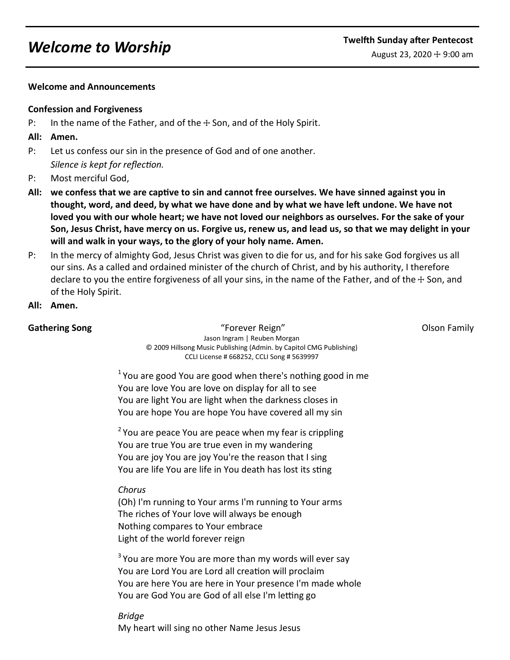### **Welcome and Announcements**

## **Confession and Forgiveness**

P: In the name of the Father, and of the  $\pm$  Son, and of the Holy Spirit.

## **All: Amen.**

- P: Let us confess our sin in the presence of God and of one another. *Silence is kept for reflection.*
- P: Most merciful God,
- **All: we confess that we are captive to sin and cannot free ourselves. We have sinned against you in thought, word, and deed, by what we have done and by what we have left undone. We have not loved you with our whole heart; we have not loved our neighbors as ourselves. For the sake of your Son, Jesus Christ, have mercy on us. Forgive us, renew us, and lead us, so that we may delight in your will and walk in your ways, to the glory of your holy name. Amen.**
- P: In the mercy of almighty God, Jesus Christ was given to die for us, and for his sake God forgives us all our sins. As a called and ordained minister of the church of Christ, and by his authority, I therefore declare to you the entire forgiveness of all your sins, in the name of the Father, and of the  $\pm$  Son, and of the Holy Spirit.
- **All: Amen.**

**Gathering Song** The Community of School and Theorem Community Community Community Community Community Community Community Community Community Community Community Community Community Community Community Community Community Jason Ingram | Reuben Morgan © 2009 Hillsong Music Publishing (Admin. by Capitol CMG Publishing) CCLI License # 668252, CCLI Song # 5639997

 $1$  You are good You are good when there's nothing good in me You are love You are love on display for all to see You are light You are light when the darkness closes in You are hope You are hope You have covered all my sin

 $2$  You are peace You are peace when my fear is crippling You are true You are true even in my wandering You are joy You are joy You're the reason that I sing You are life You are life in You death has lost its sting

# *Chorus*

(Oh) I'm running to Your arms I'm running to Your arms The riches of Your love will always be enough Nothing compares to Your embrace Light of the world forever reign

 $3$  You are more You are more than my words will ever say You are Lord You are Lord all creation will proclaim You are here You are here in Your presence I'm made whole You are God You are God of all else I'm letting go

*Bridge* My heart will sing no other Name Jesus Jesus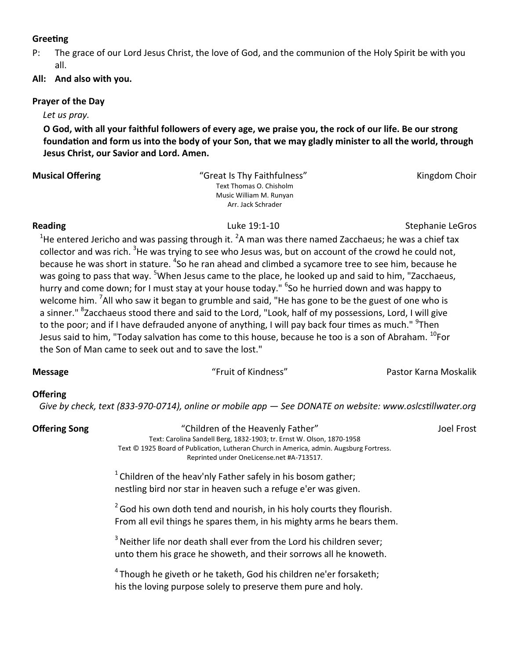### **Greeting**

- P: The grace of our Lord Jesus Christ, the love of God, and the communion of the Holy Spirit be with you all.
- **All: And also with you.**

## **Prayer of the Day**

*Let us pray.*

**O God, with all your faithful followers of every age, we praise you, the rock of our life. Be our strong foundation and form us into the body of your Son, that we may gladly minister to all the world, through Jesus Christ, our Savior and Lord. Amen.**

### **Musical Offering The Community of Choice Acts and Serverse Choice Choice Choice Choice Acts and Choice Choice Choice Choice Acts and Choice Choice Acts and Choice Acts and Choice Acts and Choice Acts and Choice Acts and C** Text Thomas O. Chisholm Music William M. Runyan Arr. Jack Schrader

**Reading The Contract Contract Contract Contract Contract Contract Contract Contract Contract Contract Contract Contract Contract Contract Contract Contract Contract Contract Contract Contract Contract Contract Contract Co** 

<sup>1</sup>He entered Jericho and was passing through it. <sup>2</sup>A man was there named Zacchaeus; he was a chief tax collector and was rich. <sup>3</sup>He was trying to see who Jesus was, but on account of the crowd he could not, because he was short in stature. <sup>4</sup>So he ran ahead and climbed a sycamore tree to see him, because he was going to pass that way. <sup>5</sup>When Jesus came to the place, he looked up and said to him, "Zacchaeus, hurry and come down; for I must stay at your house today." <sup>6</sup>So he hurried down and was happy to welcome him. <sup>7</sup>All who saw it began to grumble and said, "He has gone to be the guest of one who is a sinner." <sup>8</sup>Zacchaeus stood there and said to the Lord, "Look, half of my possessions, Lord, I will give to the poor; and if I have defrauded anyone of anything, I will pay back four times as much." <sup>9</sup>Then Jesus said to him, "Today salvation has come to this house, because he too is a son of Abraham. <sup>10</sup>For the Son of Man came to seek out and to save the lost."

**Message** "Fruit of Kindness" Pastor Karna Moskalik

# **Offering**

 *Give by check, text (833-970-0714), online or mobile app — See DONATE on website: www.oslcstillwater.org*

**Offering Song The Children of the Heavenly Father" The Children of the Heavenly Father" and The Children of the Heavenly Father" and The Theories of The Theories of The Theories of The Theories of The Theories of The Theo** 

Text: Carolina Sandell Berg, 1832-1903; tr. Ernst W. Olson, 1870-1958 Text © 1925 Board of Publication, Lutheran Church in America, admin. Augsburg Fortress. Reprinted under OneLicense.net #A-713517.

 $1$ Children of the heav'nly Father safely in his bosom gather; nestling bird nor star in heaven such a refuge e'er was given.

 $2^{2}$  God his own doth tend and nourish, in his holy courts they flourish. From all evil things he spares them, in his mighty arms he bears them.

 $3$  Neither life nor death shall ever from the Lord his children sever; unto them his grace he showeth, and their sorrows all he knoweth.

 $4$ Though he giveth or he taketh, God his children ne'er forsaketh; his the loving purpose solely to preserve them pure and holy.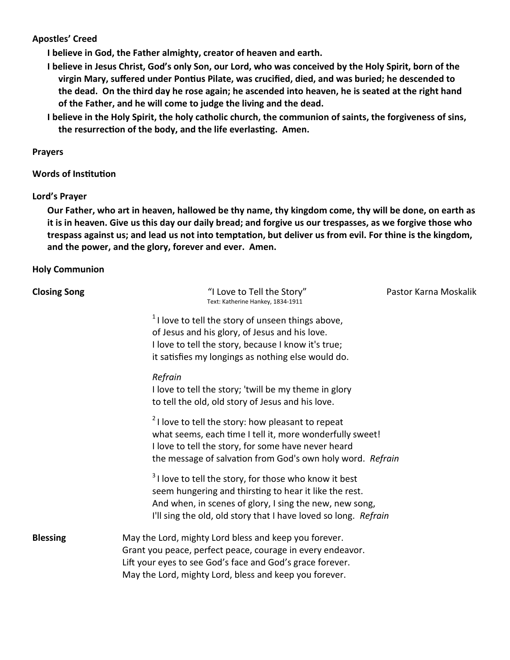## **Apostles' Creed**

**I believe in God, the Father almighty, creator of heaven and earth.** 

- **I believe in Jesus Christ, God's only Son, our Lord, who was conceived by the Holy Spirit, born of the virgin Mary, suffered under Pontius Pilate, was crucified, died, and was buried; he descended to the dead. On the third day he rose again; he ascended into heaven, he is seated at the right hand of the Father, and he will come to judge the living and the dead.**
- **I believe in the Holy Spirit, the holy catholic church, the communion of saints, the forgiveness of sins, the resurrection of the body, and the life everlasting. Amen.**

### **Prayers**

### **Words of Institution**

### **Lord's Prayer**

**Our Father, who art in heaven, hallowed be thy name, thy kingdom come, thy will be done, on earth as it is in heaven. Give us this day our daily bread; and forgive us our trespasses, as we forgive those who trespass against us; and lead us not into temptation, but deliver us from evil. For thine is the kingdom, and the power, and the glory, forever and ever. Amen.** 

### **Holy Communion**

| <b>Closing Song</b> | "I Love to Tell the Story"<br>Text: Katherine Hankey, 1834-1911                                                                                                                                                                                           | Pastor Karna Moskalik |
|---------------------|-----------------------------------------------------------------------------------------------------------------------------------------------------------------------------------------------------------------------------------------------------------|-----------------------|
|                     | $1$ l love to tell the story of unseen things above,<br>of Jesus and his glory, of Jesus and his love.<br>I love to tell the story, because I know it's true;<br>it satisfies my longings as nothing else would do.                                       |                       |
|                     | Refrain<br>I love to tell the story; 'twill be my theme in glory                                                                                                                                                                                          |                       |
|                     | to tell the old, old story of Jesus and his love.                                                                                                                                                                                                         |                       |
|                     | <sup>2</sup> I love to tell the story: how pleasant to repeat<br>what seems, each time I tell it, more wonderfully sweet!<br>I love to tell the story, for some have never heard<br>the message of salvation from God's own holy word. Refrain            |                       |
|                     | <sup>3</sup> I love to tell the story, for those who know it best<br>seem hungering and thirsting to hear it like the rest.<br>And when, in scenes of glory, I sing the new, new song,<br>I'll sing the old, old story that I have loved so long. Refrain |                       |
| <b>Blessing</b>     | May the Lord, mighty Lord bless and keep you forever.<br>Grant you peace, perfect peace, courage in every endeavor.<br>Lift your eyes to see God's face and God's grace forever.<br>May the Lord, mighty Lord, bless and keep you forever.                |                       |